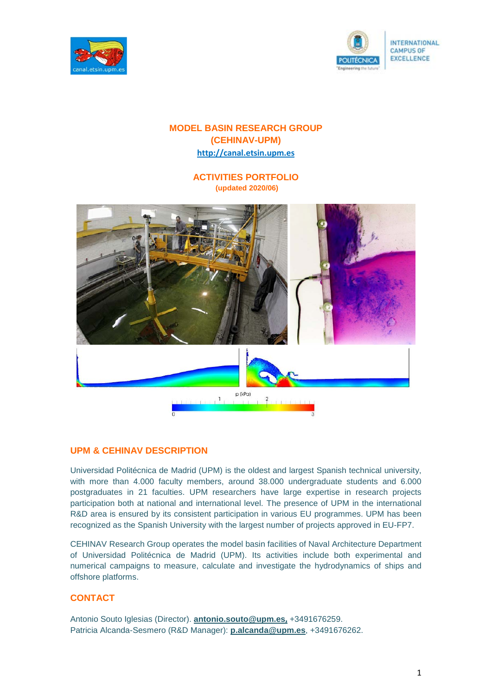



# **MODEL BASIN RESEARCH GROUP (CEHINAV-UPM) [http://canal.etsin.upm.es](http://canal.etsin.upm.es/)**

**ACTIVITIES PORTFOLIO (updated 2020/06)**



## **UPM & CEHINAV DESCRIPTION**

Universidad Politécnica de Madrid (UPM) is the oldest and largest Spanish technical university, with more than 4.000 faculty members, around 38.000 undergraduate students and 6.000 postgraduates in 21 faculties. UPM researchers have large expertise in research projects participation both at national and international level. The presence of UPM in the international R&D area is ensured by its consistent participation in various EU programmes. UPM has been recognized as the Spanish University with the largest number of projects approved in EU-FP7.

CEHINAV Research Group operates the model basin facilities of Naval Architecture Department of Universidad Politécnica de Madrid (UPM). Its activities include both experimental and numerical campaigns to measure, calculate and investigate the hydrodynamics of ships and offshore platforms.

## **CONTACT**

Antonio Souto Iglesias (Director). **[antonio.souto@upm.es](mailto:antonio.souto@upm.es),** +3491676259. Patricia Alcanda-Sesmero (R&D Manager): **[p.alcanda@upm.es](mailto:p.alcanda@upm.es)**, +3491676262.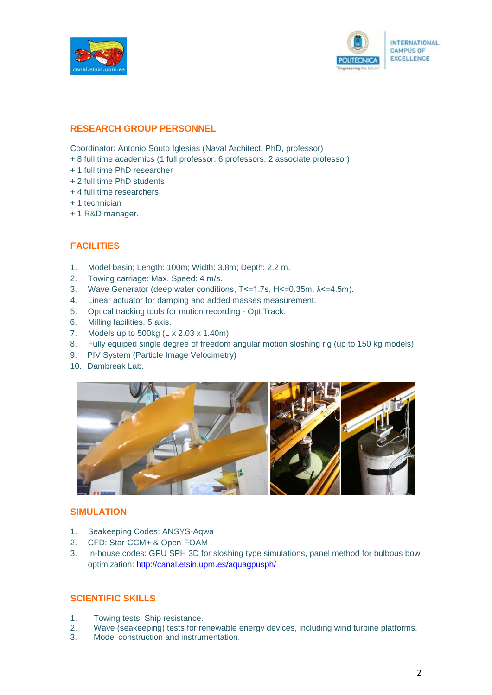



## **RESEARCH GROUP PERSONNEL**

Coordinator: Antonio Souto Iglesias (Naval Architect, PhD, professor)

- + 8 full time academics (1 full professor, 6 professors, 2 associate professor)
- + 1 full time PhD researcher
- + 2 full time PhD students
- + 4 full time researchers
- + 1 technician
- + 1 R&D manager.

## **FACILITIES**

- 1. Model basin; Length: 100m; Width: 3.8m; Depth: 2.2 m.
- 2. Towing carriage: Max. Speed: 4 m/s.
- 3. Wave Generator (deep water conditions, T<=1.7s, H<=0.35m, λ<=4.5m).
- 4. Linear actuator for damping and added masses measurement.
- 5. Optical tracking tools for motion recording OptiTrack.
- 6. Milling facilities, 5 axis.
- 7. Models up to 500kg (L x 2.03 x 1.40m)
- 8. Fully equiped single degree of freedom angular motion sloshing rig (up to 150 kg models).
- 9. PIV System (Particle Image Velocimetry)
- 10. Dambreak Lab.



## **SIMULATION**

- 1. Seakeeping Codes: ANSYS-Aqwa
- 2. CFD: Star-CCM+ & Open-FOAM
- 3. In-house codes: GPU SPH 3D for sloshing type simulations, panel method for bulbous bow optimization: <http://canal.etsin.upm.es/aquagpusph/>

## **SCIENTIFIC SKILLS**

- 1. Towing tests: Ship resistance.
- 2. Wave (seakeeping) tests for renewable energy devices, including wind turbine platforms.
- 3. Model construction and instrumentation.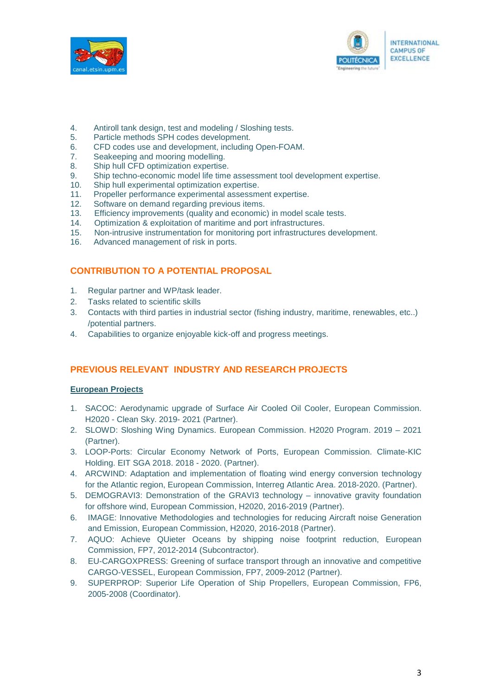



- 4. Antiroll tank design, test and modeling / Sloshing tests.
- 5. Particle methods SPH codes development.
- 6. CFD codes use and development, including Open-FOAM.
- 7. Seakeeping and mooring modelling.
- 8. Ship hull CFD optimization expertise.
- 9. Ship techno-economic model life time assessment tool development expertise.
- 10. Ship hull experimental optimization expertise.
- 11. Propeller performance experimental assessment expertise.
- 12. Software on demand regarding previous items.<br>13. Efficiency improvements (quality and economic
- 13. Efficiency improvements (quality and economic) in model scale tests.<br>14. Optimization & exploitation of maritime and port infrastructures.
- 14. Optimization & exploitation of maritime and port infrastructures.<br>15. Non-intrusive instrumentation for monitoring port infrastructures
- Non-intrusive instrumentation for monitoring port infrastructures development.
- 16. Advanced management of risk in ports.

## **CONTRIBUTION TO A POTENTIAL PROPOSAL**

- 1. Regular partner and WP/task leader.
- 2. Tasks related to scientific skills
- 3. Contacts with third parties in industrial sector (fishing industry, maritime, renewables, etc..) /potential partners.
- 4. Capabilities to organize enjoyable kick-off and progress meetings.

## **PREVIOUS RELEVANT INDUSTRY AND RESEARCH PROJECTS**

#### **European Projects**

- 1. SACOC: Aerodynamic upgrade of Surface Air Cooled Oil Cooler, European Commission. H2020 - Clean Sky. 2019- 2021 (Partner).
- 2. SLOWD: Sloshing Wing Dynamics. European Commission. H2020 Program. 2019 2021 (Partner).
- 3. LOOP-Ports: Circular Economy Network of Ports, European Commission. Climate-KIC Holding. EIT SGA 2018. 2018 - 2020. (Partner).
- 4. ARCWIND: Adaptation and implementation of floating wind energy conversion technology for the Atlantic region, European Commission, Interreg Atlantic Area. 2018-2020. (Partner).
- 5. DEMOGRAVI3: Demonstration of the GRAVI3 technology innovative gravity foundation for offshore wind, European Commission, H2020, 2016-2019 (Partner).
- 6. IMAGE: Innovative Methodologies and technologies for reducing Aircraft noise Generation and Emission, European Commission, H2020, 2016-2018 (Partner).
- 7. AQUO: Achieve QUieter Oceans by shipping noise footprint reduction, European Commission, FP7, 2012-2014 (Subcontractor).
- 8. EU-CARGOXPRESS: Greening of surface transport through an innovative and competitive CARGO-VESSEL, European Commission, FP7, 2009-2012 (Partner).
- 9. SUPERPROP: Superior Life Operation of Ship Propellers, European Commission, FP6, 2005-2008 (Coordinator).